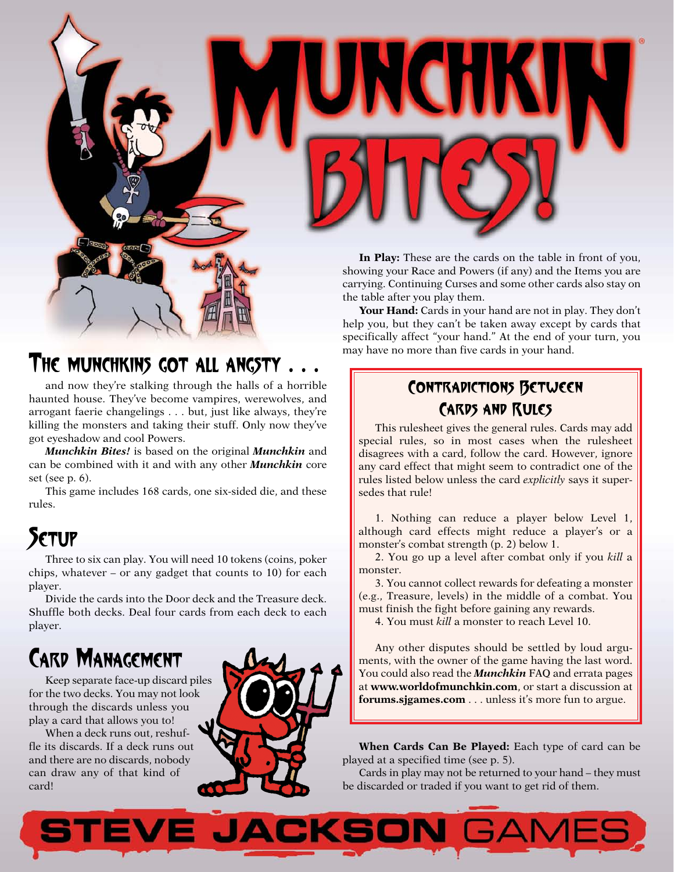

**In Play:** These are the cards on the table in front of you, showing your Race and Powers (if any) and the Items you are carrying. Continuing Curses and some other cards also stay on the table after you play them.

**Your Hand:** Cards in your hand are not in play. They don't help you, but they can't be taken away except by cards that specifically affect "your hand." At the end of your turn, you may have no more than five cards in your hand.

## THE MUNCHKINS GOT ALL ANGSTY . . .

and now they're stalking through the halls of a horrible haunted house. They've become vampires, werewolves, and arrogant faerie changelings . . . but, just like always, they're killing the monsters and taking their stuff. Only now they've got eyeshadow and cool Powers.

*Munchkin Bites!* is based on the original *Munchkin* and can be combined with it and with any other *Munchkin* core set (see p. 6).

This game includes 168 cards, one six-sided die, and these rules.

# **SETUP**

Three to six can play. You will need 10 tokens (coins, poker chips, whatever – or any gadget that counts to 10) for each player.

Divide the cards into the Door deck and the Treasure deck. Shuffle both decks. Deal four cards from each deck to each player.

# CARD MANAGEMENT

Keep separate face-up discard piles for the two decks. You may not look through the discards unless you play a card that allows you to!

When a deck runs out, reshuffle its discards. If a deck runs out and there are no discards, nobody can draw any of that kind of card!



## Contradictions Between Cards and Rules

This rulesheet gives the general rules. Cards may add special rules, so in most cases when the rulesheet disagrees with a card, follow the card. However, ignore any card effect that might seem to contradict one of the rules listed below unless the card *explicitly* says it supersedes that rule!

1. Nothing can reduce a player below Level 1, although card effects might reduce a player's or a monster's combat strength (p. 2) below 1.

2. You go up a level after combat only if you *kill* a monster.

3. You cannot collect rewards for defeating a monster (e.g., Treasure, levels) in the middle of a combat. You must finish the fight before gaining any rewards.

4. You must *kill* a monster to reach Level 10.

Any other disputes should be settled by loud arguments, with the owner of the game having the last word. You could also read the *Munchkin* FAQ and errata pages at **www.worldofmunchkin.com**, or start a discussion at **forums.sjgames.com** . . . unless it's more fun to argue.

**When Cards Can Be Played:** Each type of card can be played at a specified time (see p. 5).

Cards in play may not be returned to your hand – they must be discarded or traded if you want to get rid of them.

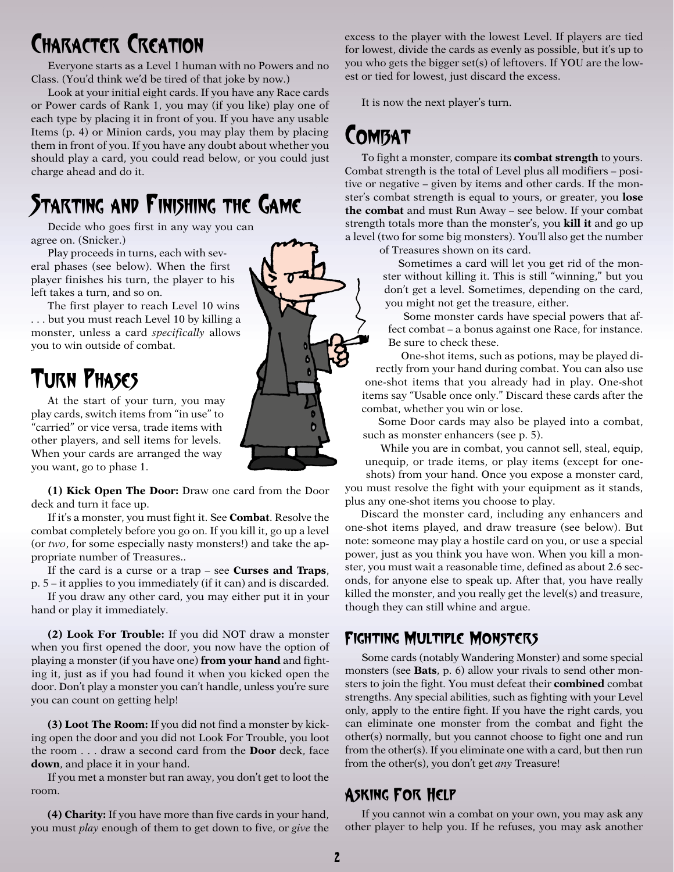# CHARACTER CREATION

Everyone starts as a Level 1 human with no Powers and no Class. (You'd think we'd be tired of that joke by now.)

Look at your initial eight cards. If you have any Race cards or Power cards of Rank 1, you may (if you like) play one of each type by placing it in front of you. If you have any usable Items (p. 4) or Minion cards, you may play them by placing them in front of you. If you have any doubt about whether you should play a card, you could read below, or you could just charge ahead and do it.

## STARTING AND FINISHING THE GAME

Decide who goes first in any way you can agree on. (Snicker.)

Play proceeds in turns, each with several phases (see below). When the first player finishes his turn, the player to his left takes a turn, and so on.

The first player to reach Level 10 wins . . . but you must reach Level 10 by killing a monster, unless a card *specifically* allows you to win outside of combat.

# TURN PHASES

At the start of your turn, you may play cards, switch items from "in use" to "carried" or vice versa, trade items with other players, and sell items for levels. When your cards are arranged the way you want, go to phase 1.

**(1) Kick Open The Door:** Draw one card from the Door deck and turn it face up.

If it's a monster, you must fight it. See **Combat**. Resolve the combat completely before you go on. If you kill it, go up a level (or *two*, for some especially nasty monsters!) and take the appropriate number of Treasures..

If the card is a curse or a trap – see **Curses and Traps**, p. 5 – it applies to you immediately (if it can) and is discarded.

If you draw any other card, you may either put it in your hand or play it immediately.

**(2) Look For Trouble:** If you did NOT draw a monster when you first opened the door, you now have the option of playing a monster (if you have one) **from your hand** and fighting it, just as if you had found it when you kicked open the door. Don't play a monster you can't handle, unless you're sure you can count on getting help!

**(3) Loot The Room:** If you did not find a monster by kicking open the door and you did not Look For Trouble, you loot the room . . . draw a second card from the **Door** deck, face **down**, and place it in your hand.

If you met a monster but ran away, you don't get to loot the room.

**(4) Charity:** If you have more than five cards in your hand, you must *play* enough of them to get down to five, or *give* the excess to the player with the lowest Level. If players are tied for lowest, divide the cards as evenly as possible, but it's up to you who gets the bigger set(s) of leftovers. If YOU are the lowest or tied for lowest, just discard the excess.

It is now the next player's turn.

## **COMBAT**

To fight a monster, compare its **combat strength** to yours. Combat strength is the total of Level plus all modifiers – positive or negative – given by items and other cards. If the monster's combat strength is equal to yours, or greater, you **lose the combat** and must Run Away – see below. If your combat strength totals more than the monster's, you **kill it** and go up a level (two for some big monsters). You'll also get the number

of Treasures shown on its card.

Sometimes a card will let you get rid of the monster without killing it. This is still "winning," but you don't get a level. Sometimes, depending on the card, you might not get the treasure, either.

Some monster cards have special powers that affect combat – a bonus against one Race, for instance. Be sure to check these.

One-shot items, such as potions, may be played directly from your hand during combat. You can also use one-shot items that you already had in play. One-shot items say "Usable once only." Discard these cards after the combat, whether you win or lose.

Some Door cards may also be played into a combat, such as monster enhancers (see p. 5).

While you are in combat, you cannot sell, steal, equip, unequip, or trade items, or play items (except for one-

shots) from your hand. Once you expose a monster card, you must resolve the fight with your equipment as it stands, plus any one-shot items you choose to play.

Discard the monster card, including any enhancers and one-shot items played, and draw treasure (see below). But note: someone may play a hostile card on you, or use a special power, just as you think you have won. When you kill a monster, you must wait a reasonable time, defined as about 2.6 seconds, for anyone else to speak up. After that, you have really killed the monster, and you really get the level(s) and treasure, though they can still whine and argue.

### Fighting Multiple Monsters

Some cards (notably Wandering Monster) and some special monsters (see **Bats**, p. 6) allow your rivals to send other monsters to join the fight. You must defeat their **combined** combat strengths. Any special abilities, such as fighting with your Level only, apply to the entire fight. If you have the right cards, you can eliminate one monster from the combat and fight the other(s) normally, but you cannot choose to fight one and run from the other(s). If you eliminate one with a card, but then run from the other(s), you don't get *any* Treasure!

### Asking For Help

If you cannot win a combat on your own, you may ask any other player to help you. If he refuses, you may ask another

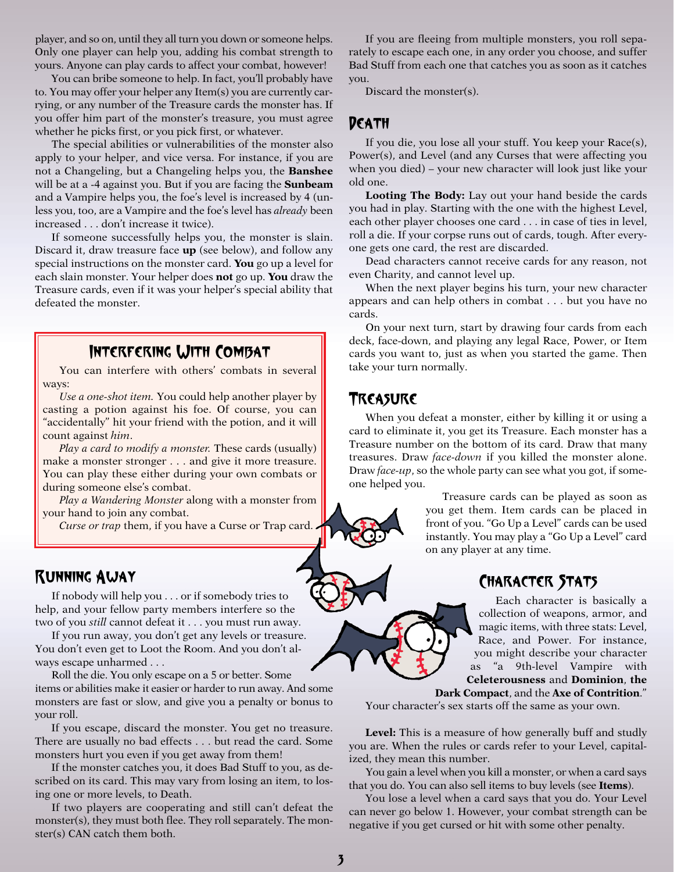player, and so on, until they all turn you down or someone helps. Only one player can help you, adding his combat strength to yours. Anyone can play cards to affect your combat, however!

You can bribe someone to help. In fact, you'll probably have to. You may offer your helper any Item(s) you are currently carrying, or any number of the Treasure cards the monster has. If you offer him part of the monster's treasure, you must agree whether he picks first, or you pick first, or whatever.

The special abilities or vulnerabilities of the monster also apply to your helper, and vice versa. For instance, if you are not a Changeling, but a Changeling helps you, the **Banshee** will be at a -4 against you. But if you are facing the **Sunbeam** and a Vampire helps you, the foe's level is increased by 4 (unless you, too, are a Vampire and the foe's level has *already* been increased . . . don't increase it twice).

If someone successfully helps you, the monster is slain. Discard it, draw treasure face **up** (see below), and follow any special instructions on the monster card. **You** go up a level for each slain monster. Your helper does **not** go up. **You** draw the Treasure cards, even if it was your helper's special ability that defeated the monster.

### Interfering With Combat

You can interfere with others' combats in several ways:

*Use a one-shot item.* You could help another player by casting a potion against his foe. Of course, you can "accidentally" hit your friend with the potion, and it will count against *him*.

*Play a card to modify a monster.* These cards (usually) make a monster stronger . . . and give it more treasure. You can play these either during your own combats or during someone else's combat.

*Play a Wandering Monster* along with a monster from your hand to join any combat.

*Curse or trap* them, if you have a Curse or Trap card.

### Running Away

If nobody will help you . . . or if somebody tries to help, and your fellow party members interfere so the two of you *still* cannot defeat it . . . you must run away.

If you run away, you don't get any levels or treasure. You don't even get to Loot the Room. And you don't always escape unharmed . . .

Roll the die. You only escape on a 5 or better. Some items or abilities make it easier or harder to run away. And some monsters are fast or slow, and give you a penalty or bonus to your roll.

If you escape, discard the monster. You get no treasure. There are usually no bad effects . . . but read the card. Some monsters hurt you even if you get away from them!

If the monster catches you, it does Bad Stuff to you, as described on its card. This may vary from losing an item, to losing one or more levels, to Death.

If two players are cooperating and still can't defeat the monster(s), they must both flee. They roll separately. The monster(s) CAN catch them both.

If you are fleeing from multiple monsters, you roll separately to escape each one, in any order you choose, and suffer Bad Stuff from each one that catches you as soon as it catches you.

Discard the monster(s).

### DEATH

If you die, you lose all your stuff. You keep your Race(s), Power(s), and Level (and any Curses that were affecting you when you died) – your new character will look just like your old one.

**Looting The Body:** Lay out your hand beside the cards you had in play. Starting with the one with the highest Level, each other player chooses one card . . . in case of ties in level, roll a die. If your corpse runs out of cards, tough. After everyone gets one card, the rest are discarded.

Dead characters cannot receive cards for any reason, not even Charity, and cannot level up.

When the next player begins his turn, your new character appears and can help others in combat . . . but you have no cards.

On your next turn, start by drawing four cards from each deck, face-down, and playing any legal Race, Power, or Item cards you want to, just as when you started the game. Then take your turn normally.

#### Treasure

When you defeat a monster, either by killing it or using a card to eliminate it, you get its Treasure. Each monster has a Treasure number on the bottom of its card. Draw that many treasures. Draw *face-down* if you killed the monster alone. Draw *face-up*, so the whole party can see what you got, if someone helped you.

> Treasure cards can be played as soon as you get them. Item cards can be placed in front of you. "Go Up a Level" cards can be used instantly. You may play a "Go Up a Level" card on any player at any time.

### Character Stats

Each character is basically a collection of weapons, armor, and magic items, with three stats: Level, Race, and Power. For instance, you might describe your character as "a 9th-level Vampire with **Celeterousness** and **Dominion**, **the**

**Dark Compact**, and the **Axe of Contrition**."

Your character's sex starts off the same as your own.

**Level:** This is a measure of how generally buff and studly you are. When the rules or cards refer to your Level, capitalized, they mean this number.

You gain a level when you kill a monster, or when a card says that you do. You can also sell items to buy levels (see **Items**).

You lose a level when a card says that you do. Your Level can never go below 1. However, your combat strength can be negative if you get cursed or hit with some other penalty.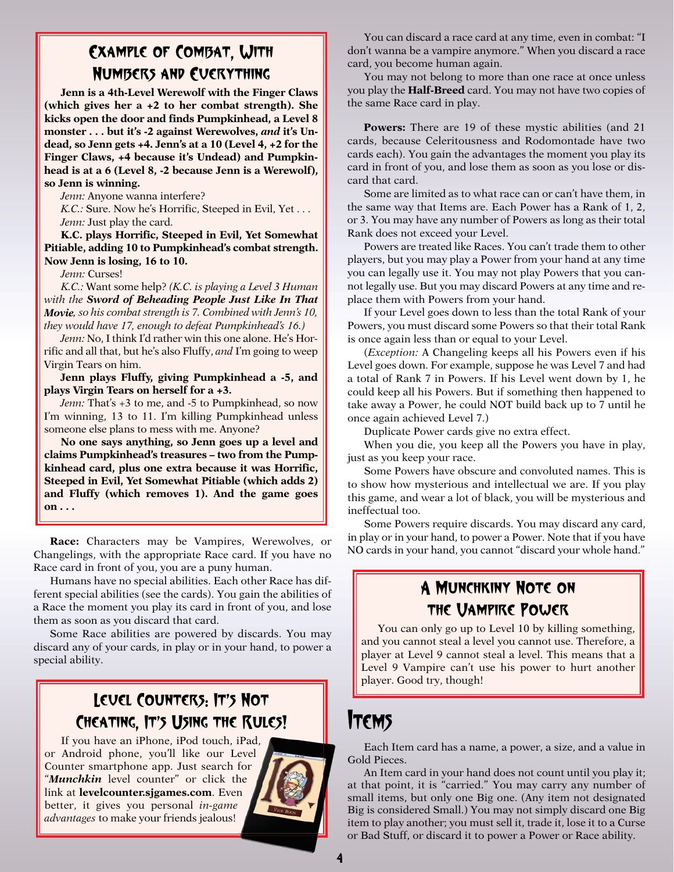### Example of Combat, With Numbers and Everything

**Jenn is a 4th-Level Werewolf with the Finger Claws (which gives her a +2 to her combat strength). She kicks open the door and finds Pumpkinhead, a Level 8 monster . . . but it's -2 against Werewolves,** *and* **it's Undead, so Jenn gets +4. Jenn's at a 10 (Level 4, +2 for the Finger Claws, +4 because it's Undead) and Pumpkinhead is at a 6 (Level 8, -2 because Jenn is a Werewolf), so Jenn is winning.**

*Jenn:* Anyone wanna interfere?

*K.C.:* Sure. Now he's Horrific, Steeped in Evil, Yet . . . *Jenn:* Just play the card.

**K.C. plays Horrific, Steeped in Evil, Yet Somewhat Pitiable, adding 10 to Pumpkinhead's combat strength. Now Jenn is losing, 16 to 10.**

*Jenn:* Curses!

*K.C.:* Want some help? *(K.C. is playing a Level 3 Human with the Sword of Beheading People Just Like In That Movie, so his combat strength is 7. Combined with Jenn's 10, they would have 17, enough to defeat Pumpkinhead's 16.)*

*Jenn:* No, I think I'd rather win this one alone. He's Horrific and all that, but he's also Fluffy, *and* I'm going to weep Virgin Tears on him.

**Jenn plays Fluffy, giving Pumpkinhead a -5, and plays Virgin Tears on herself for a +3.**

*Jenn:* That's +3 to me, and -5 to Pumpkinhead, so now I'm winning, 13 to 11. I'm killing Pumpkinhead unless someone else plans to mess with me. Anyone?

**No one says anything, so Jenn goes up a level and claims Pumpkinhead's treasures – two from the Pumpkinhead card, plus one extra because it was Horrific, Steeped in Evil, Yet Somewhat Pitiable (which adds 2) and Fluffy (which removes 1). And the game goes on . . .**

**Race:** Characters may be Vampires, Werewolves, or Changelings, with the appropriate Race card. If you have no Race card in front of you, you are a puny human.

Humans have no special abilities. Each other Race has different special abilities (see the cards). You gain the abilities of a Race the moment you play its card in front of you, and lose them as soon as you discard that card.

Some Race abilities are powered by discards. You may discard any of your cards, in play or in your hand, to power a special ability.

### Level Counters: It's Not Cheating, It's Using the Rules!

If you have an iPhone, iPod touch, iPad, or Android phone, you'll like our Level Counter smartphone app. Just search for "*Munchkin* level counter" or click the link at **levelcounter.sjgames.com**. Even better, it gives you personal *in-game advantages* to make your friends jealous!



You can discard a race card at any time, even in combat: "I don't wanna be a vampire anymore." When you discard a race card, you become human again.

You may not belong to more than one race at once unless you play the **Half-Breed** card. You may not have two copies of the same Race card in play.

**Powers:** There are 19 of these mystic abilities (and 21) cards, because Celeritousness and Rodomontade have two cards each). You gain the advantages the moment you play its card in front of you, and lose them as soon as you lose or discard that card.

Some are limited as to what race can or can't have them, in the same way that Items are. Each Power has a Rank of 1, 2, or 3. You may have any number of Powers as long as their total Rank does not exceed your Level.

Powers are treated like Races. You can't trade them to other players, but you may play a Power from your hand at any time you can legally use it. You may not play Powers that you cannot legally use. But you may discard Powers at any time and replace them with Powers from your hand.

If your Level goes down to less than the total Rank of your Powers, you must discard some Powers so that their total Rank is once again less than or equal to your Level.

(*Exception:* A Changeling keeps all his Powers even if his Level goes down. For example, suppose he was Level 7 and had a total of Rank 7 in Powers. If his Level went down by 1, he could keep all his Powers. But if something then happened to take away a Power, he could NOT build back up to 7 until he once again achieved Level 7.)

Duplicate Power cards give no extra effect.

When you die, you keep all the Powers you have in play, just as you keep your race.

Some Powers have obscure and convoluted names. This is to show how mysterious and intellectual we are. If you play this game, and wear a lot of black, you will be mysterious and ineffectual too.

Some Powers require discards. You may discard any card, in play or in your hand, to power a Power. Note that if you have NO cards in your hand, you cannot "discard your whole hand."

### A Munchkiny Note on the Vampire Power

You can only go up to Level 10 by killing something, and you cannot steal a level you cannot use. Therefore, a player at Level 9 cannot steal a level. This means that a Level 9 Vampire can't use his power to hurt another player. Good try, though!

## **ITEMS**

Each Item card has a name, a power, a size, and a value in Gold Pieces.

An Item card in your hand does not count until you play it; at that point, it is "carried." You may carry any number of small items, but only one Big one. (Any item not designated Big is considered Small.) You may not simply discard one Big item to play another; you must sell it, trade it, lose it to a Curse or Bad Stuff, or discard it to power a Power or Race ability.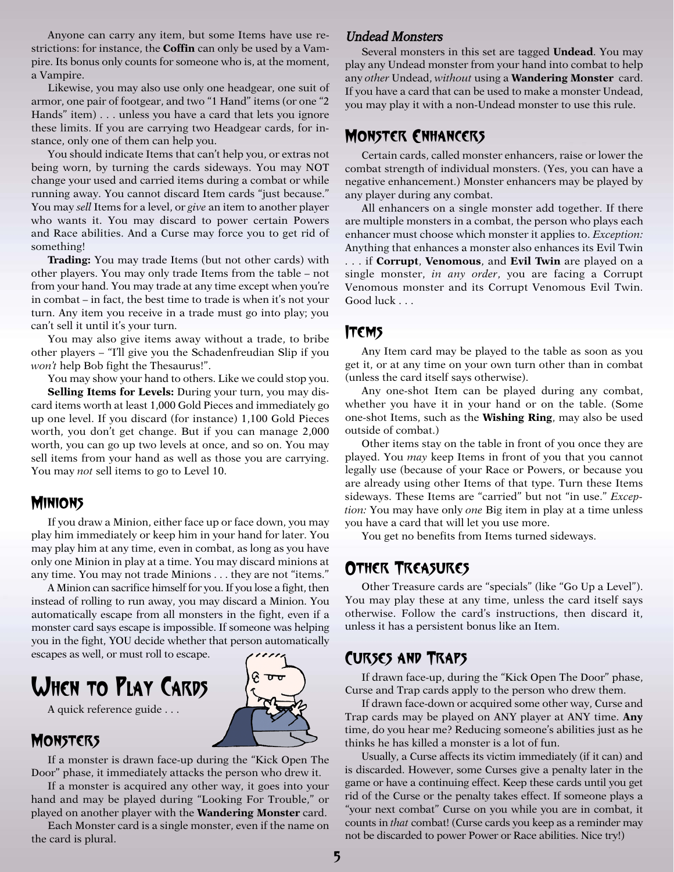Anyone can carry any item, but some Items have use restrictions: for instance, the **Coffin** can only be used by a Vampire. Its bonus only counts for someone who is, at the moment, a Vampire.

Likewise, you may also use only one headgear, one suit of armor, one pair of footgear, and two "1 Hand" items (or one "2 Hands" item) . . . unless you have a card that lets you ignore these limits. If you are carrying two Headgear cards, for instance, only one of them can help you.

You should indicate Items that can't help you, or extras not being worn, by turning the cards sideways. You may NOT change your used and carried items during a combat or while running away. You cannot discard Item cards "just because." You may *sell* Items for a level, or *give* an item to another player who wants it. You may discard to power certain Powers and Race abilities. And a Curse may force you to get rid of something!

**Trading:** You may trade Items (but not other cards) with other players. You may only trade Items from the table – not from your hand. You may trade at any time except when you're in combat – in fact, the best time to trade is when it's not your turn. Any item you receive in a trade must go into play; you can't sell it until it's your turn.

You may also give items away without a trade, to bribe other players – "I'll give you the Schadenfreudian Slip if you *won't* help Bob fight the Thesaurus!".

You may show your hand to others. Like we could stop you. **Selling Items for Levels:** During your turn, you may discard items worth at least 1,000 Gold Pieces and immediately go up one level. If you discard (for instance) 1,100 Gold Pieces worth, you don't get change. But if you can manage 2,000 worth, you can go up two levels at once, and so on. You may sell items from your hand as well as those you are carrying. You may *not* sell items to go to Level 10.

#### **MINIONS**

If you draw a Minion, either face up or face down, you may play him immediately or keep him in your hand for later. You may play him at any time, even in combat, as long as you have only one Minion in play at a time. You may discard minions at any time. You may not trade Minions . . . they are not "items."

A Minion can sacrifice himself for you.If you lose a fight, then instead of rolling to run away, you may discard a Minion. You automatically escape from all monsters in the fight, even if a monster card says escape is impossible. If someone was helping you in the fight, YOU decide whether that person automatically escapes as well, or must roll to escape.

# WHEN TO PLAY CARDS



A quick reference guide . . .

### **MONSTERS**

If a monster is drawn face-up during the "Kick Open The Door" phase, it immediately attacks the person who drew it.

If a monster is acquired any other way, it goes into your hand and may be played during "Looking For Trouble," or played on another player with the **Wandering Monster** card.

Each Monster card is a single monster, even if the name on the card is plural.

#### Undead Monsters

Several monsters in this set are tagged **Undead**. You may play any Undead monster from your hand into combat to help any *other* Undead, *without* using a **Wandering Monster** card. If you have a card that can be used to make a monster Undead, you may play it with a non-Undead monster to use this rule.

#### Monster Enhancers

Certain cards, called monster enhancers, raise or lower the combat strength of individual monsters. (Yes, you can have a negative enhancement.) Monster enhancers may be played by any player during any combat.

All enhancers on a single monster add together. If there are multiple monsters in a combat, the person who plays each enhancer must choose which monster it applies to. *Exception:* Anything that enhances a monster also enhances its Evil Twin

. . . if **Corrupt**, **Venomous**, and **Evil Twin** are played on a single monster, *in any order*, you are facing a Corrupt Venomous monster and its Corrupt Venomous Evil Twin. Good luck . . .

### Items

Any Item card may be played to the table as soon as you get it, or at any time on your own turn other than in combat (unless the card itself says otherwise).

Any one-shot Item can be played during any combat, whether you have it in your hand or on the table. (Some one-shot Items, such as the **Wishing Ring**, may also be used outside of combat.)

Other items stay on the table in front of you once they are played. You *may* keep Items in front of you that you cannot legally use (because of your Race or Powers, or because you are already using other Items of that type. Turn these Items sideways. These Items are "carried" but not "in use." *Exception:* You may have only *one* Big item in play at a time unless you have a card that will let you use more.

You get no benefits from Items turned sideways.

### Other Treasures

Other Treasure cards are "specials" (like "Go Up a Level"). You may play these at any time, unless the card itself says otherwise. Follow the card's instructions, then discard it, unless it has a persistent bonus like an Item.

### Curses and Traps

If drawn face-up, during the "Kick Open The Door" phase, Curse and Trap cards apply to the person who drew them.

If drawn face-down or acquired some other way, Curse and Trap cards may be played on ANY player at ANY time. **Any** time, do you hear me? Reducing someone's abilities just as he thinks he has killed a monster is a lot of fun.

Usually, a Curse affects its victim immediately (if it can) and is discarded. However, some Curses give a penalty later in the game or have a continuing effect. Keep these cards until you get rid of the Curse or the penalty takes effect. If someone plays a "your next combat" Curse on you while you are in combat, it counts in *that* combat! (Curse cards you keep as a reminder may not be discarded to power Power or Race abilities. Nice try!)